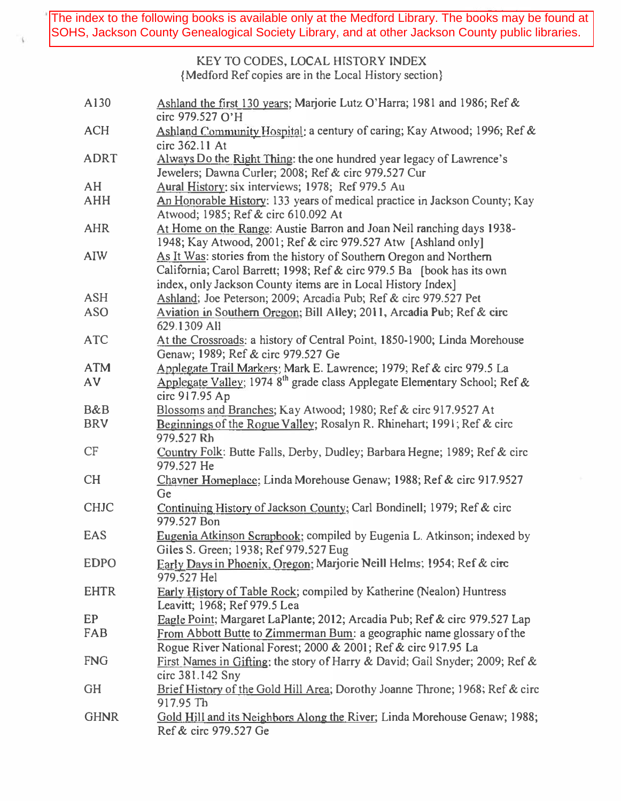The index to the following books is available only at the Medford Library. The books may be found at SOHS, Jackson County Genealogical Society Library, and at other Jackson County public libraries.

> KEY TO CODES, LOCAL HISTORY INDEX {Medford Ref copies are in the Local History section}

ï,

| A130           | Ashland the first 130 years; Marjorie Lutz O'Harra; 1981 and 1986; Ref &<br>circ 979.527 O'H                                                                                                                  |
|----------------|---------------------------------------------------------------------------------------------------------------------------------------------------------------------------------------------------------------|
| <b>ACH</b>     | Ashland Community Hospital: a century of caring; Kay Atwood; 1996; Ref &<br>circ 362.11 At                                                                                                                    |
| <b>ADRT</b>    | Always Do the Right Thing: the one hundred year legacy of Lawrence's<br>Jewelers; Dawna Curler; 2008; Ref & circ 979.527 Cur                                                                                  |
| AH             | Aural History: six interviews; 1978; Ref 979.5 Au                                                                                                                                                             |
| <b>AHH</b>     | An Honorable History: 133 years of medical practice in Jackson County; Kay<br>Atwood; 1985; Ref & circ 610.092 At                                                                                             |
| <b>AHR</b>     | At Home on the Range: Austie Barron and Joan Neil ranching days 1938-<br>1948; Kay Atwood, 2001; Ref & circ 979.527 Atw [Ashland only]                                                                        |
| AIW            | As It Was: stories from the history of Southern Oregon and Northern<br>California; Carol Barrett; 1998; Ref & circ 979.5 Ba [book has its own<br>index, only Jackson County items are in Local History Index] |
| <b>ASH</b>     | Ashland; Joe Peterson; 2009; Arcadia Pub; Ref & circ 979.527 Pet                                                                                                                                              |
| <b>ASO</b>     | Aviation in Southern Oregon; Bill Alley; 2011, Arcadia Pub; Ref & circ<br>629.1309 All                                                                                                                        |
| <b>ATC</b>     | At the Crossroads: a history of Central Point, 1850-1900; Linda Morehouse<br>Genaw; 1989; Ref & circ 979.527 Ge                                                                                               |
| <b>ATM</b>     | Applegate Trail Markers; Mark E. Lawrence; 1979; Ref & circ 979.5 La                                                                                                                                          |
| AV             | Applegate Valley; 1974 8 <sup>th</sup> grade class Applegate Elementary School; Ref &<br>circ 917.95 Ap                                                                                                       |
| <b>B&amp;B</b> | Blossoms and Branches; Kay Atwood; 1980; Ref & circ 917.9527 At                                                                                                                                               |
| <b>BRV</b>     | Beginnings of the Rogue Valley; Rosalyn R. Rhinehart; 1991; Ref & circ<br>979.527 Rh                                                                                                                          |
| CF             | Country Folk: Butte Falls, Derby, Dudley; Barbara Hegne; 1989; Ref & circ<br>979.527 He                                                                                                                       |
| CH             | Chavner Homeplace; Linda Morehouse Genaw; 1988; Ref & circ 917.9527<br>Ge                                                                                                                                     |
| <b>CHJC</b>    | Continuing History of Jackson County; Carl Bondinell; 1979; Ref & circ<br>979.527 Bon                                                                                                                         |
| <b>EAS</b>     | Eugenia Atkinson Scrapbook; compiled by Eugenia L. Atkinson; indexed by<br>Giles S. Green; 1938; Ref 979.527 Eug                                                                                              |
| <b>EDPO</b>    | Early Days in Phoenix, Oregon; Marjorie Neill Helms; 1954; Ref & circ<br>979.527 Hel                                                                                                                          |
| <b>EHTR</b>    | Early History of Table Rock; compiled by Katherine (Nealon) Huntress<br>Leavitt; 1968; Ref 979.5 Lea                                                                                                          |
| EP             | Eagle Point; Margaret LaPlante; 2012; Arcadia Pub; Ref & circ 979.527 Lap                                                                                                                                     |
| FAB            | From Abbott Butte to Zimmerman Bum: a geographic name glossary of the<br>Rogue River National Forest; 2000 & 2001; Ref & circ 917.95 La                                                                       |
| <b>FNG</b>     | First Names in Gifting: the story of Harry & David; Gail Snyder; 2009; Ref &<br>circ 381.142 Sny                                                                                                              |
| GH             | Brief History of the Gold Hill Area; Dorothy Joanne Throne; 1968; Ref & circ<br>917.95 Th                                                                                                                     |
| <b>GHNR</b>    | Gold Hill and its Neighbors Along the River; Linda Morehouse Genaw; 1988;<br>Ref & circ 979.527 Ge                                                                                                            |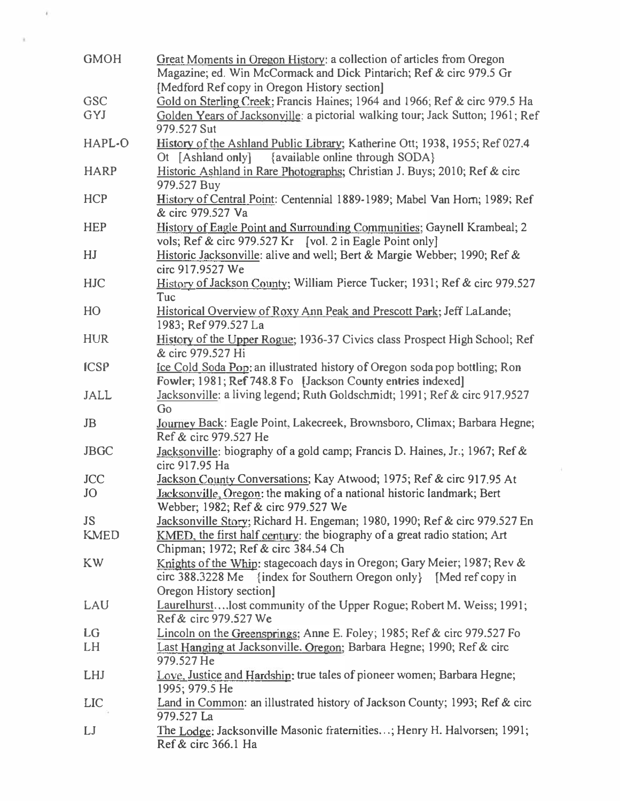| <b>GMOH</b>              | Great Moments in Oregon History: a collection of articles from Oregon<br>Magazine; ed. Win McCormack and Dick Pintarich; Ref & circ 979.5 Gr<br>[Medford Ref copy in Oregon History section]  |
|--------------------------|-----------------------------------------------------------------------------------------------------------------------------------------------------------------------------------------------|
| <b>GSC</b>               | Gold on Sterling Creek; Francis Haines; 1964 and 1966; Ref & circ 979.5 Ha                                                                                                                    |
| GYJ                      | Golden Years of Jacksonville: a pictorial walking tour; Jack Sutton; 1961; Ref<br>979.527 Sut                                                                                                 |
| HAPL-O                   | History of the Ashland Public Library; Katherine Ott; 1938, 1955; Ref 027.4<br>Ot [Ashland only] {available online through SODA}                                                              |
| <b>HARP</b>              | Historic Ashland in Rare Photographs; Christian J. Buys; 2010; Ref & circ<br>979.527 Buy                                                                                                      |
| <b>HCP</b>               | History of Central Point: Centennial 1889-1989; Mabel Van Horn; 1989; Ref<br>& circ 979,527 Va                                                                                                |
| <b>HEP</b>               | History of Eagle Point and Surrounding Communities; Gaynell Krambeal; 2<br>vols; Ref & circ 979.527 Kr [vol. 2 in Eagle Point only]                                                           |
| HJ                       | Historic Jacksonville: alive and well; Bert & Margie Webber; 1990; Ref &<br>circ 917,9527 We                                                                                                  |
| <b>HJC</b>               | History of Jackson County; William Pierce Tucker; 1931; Ref & circ 979.527<br>Tuc                                                                                                             |
| HO                       | Historical Overview of Roxy Ann Peak and Prescott Park; Jeff LaLande;<br>1983; Ref 979.527 La                                                                                                 |
| <b>HUR</b>               | History of the Upper Rogue; 1936-37 Civics class Prospect High School; Ref<br>& circ 979.527 Hi                                                                                               |
| <b>ICSP</b>              | Ice Cold Soda Pop: an illustrated history of Oregon soda pop bottling; Ron<br>Fowler; 1981; Ref 748.8 Fo [Jackson County entries indexed]                                                     |
| JALL                     | Jacksonville: a living legend; Ruth Goldschmidt; 1991; Ref & circ 917.9527<br>Go                                                                                                              |
| JB                       | Journey Back: Eagle Point, Lakecreek, Brownsboro, Climax; Barbara Hegne;<br>Ref & circ 979.527 He                                                                                             |
| <b>JBGC</b>              | Jacksonville: biography of a gold camp; Francis D. Haines, Jr.; 1967; Ref &<br>circ 917.95 Ha                                                                                                 |
| <b>JCC</b>               | Jackson County Conversations; Kay Atwood; 1975; Ref & circ 917.95 At                                                                                                                          |
| <b>JO</b>                | Jacksonville, Oregon: the making of a national historic landmark; Bert<br>Webber; 1982; Ref & circ 979.527 We                                                                                 |
| <b>JS</b><br><b>KMED</b> | Jacksonville Story; Richard H. Engeman; 1980, 1990; Ref & circ 979.527 En<br>KMED, the first half century: the biography of a great radio station; Art<br>Chipman; 1972; Ref & circ 384.54 Ch |
| <b>KW</b>                | Knights of the Whip: stagecoach days in Oregon; Gary Meier; 1987; Rev &<br>circ 388.3228 Me {index for Southern Oregon only} [Med ref copy in<br>Oregon History section]                      |
| LAU                      | Laurelhurstlost community of the Upper Rogue; Robert M. Weiss; 1991;<br>Ref & circ 979.527 We                                                                                                 |
| LG                       | Lincoln on the Greensprings; Anne E. Foley; 1985; Ref & circ 979.527 Fo                                                                                                                       |
| LH                       | Last Hanging at Jacksonville. Oregon; Barbara Hegne; 1990; Ref & circ<br>979.527 He                                                                                                           |
| <b>LHJ</b>               | Love, Justice and Hardship: true tales of pioneer women; Barbara Hegne;<br>1995; 979.5 He                                                                                                     |
| LIC                      | Land in Common: an illustrated history of Jackson County; 1993; Ref & circ<br>979.527 La                                                                                                      |
| LJ                       | The Lodge: Jacksonville Masonic fraternities; Henry H. Halvorsen; 1991;<br>Ref & circ 366.1 Ha                                                                                                |

 $\pm$ 

 $\alpha$ 

 $\bar{a}$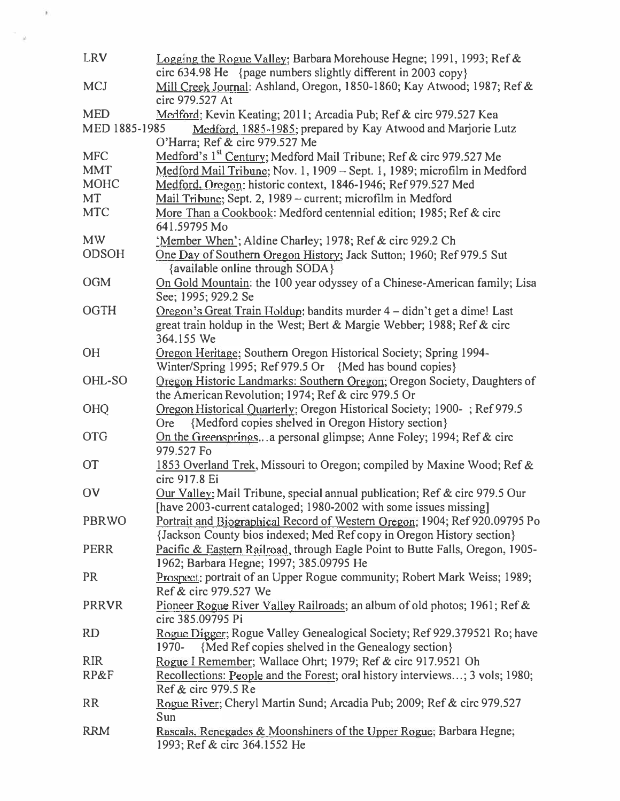| LRV             | Logging the Rogue Valley; Barbara Morehouse Hegne; 1991, 1993; Ref &<br>circ 634.98 He {page numbers slightly different in 2003 copy}               |
|-----------------|-----------------------------------------------------------------------------------------------------------------------------------------------------|
| <b>MCJ</b>      | Mill Creek Journal: Ashland, Oregon, 1850-1860; Kay Atwood; 1987; Ref &<br>circ 979.527 At                                                          |
| <b>MED</b>      | Medford; Kevin Keating; 2011; Arcadia Pub; Ref & circ 979.527 Kea                                                                                   |
| MED 1885-1985   | Medford, 1885-1985; prepared by Kay Atwood and Marjorie Lutz<br>O'Harra; Ref & circ 979.527 Me                                                      |
| <b>MFC</b>      | Medford's 1 <sup>st</sup> Century; Medford Mail Tribune; Ref & circ 979.527 Me                                                                      |
| <b>MMT</b>      | Medford Mail Tribune; Nov. 1, 1909 - Sept. 1, 1989; microfilm in Medford                                                                            |
| <b>MOHC</b>     | Medford, Oregon: historic context, 1846-1946; Ref 979.527 Med                                                                                       |
| MT              | Mail Tribune; Sept. 2, 1989 - current; microfilm in Medford                                                                                         |
| <b>MTC</b>      | More Than a Cookbook: Medford centennial edition; 1985; Ref & circ<br>641.59795 Mo                                                                  |
| <b>MW</b>       | 'Member When'; Aldine Charley; 1978; Ref & circ 929.2 Ch                                                                                            |
| <b>ODSOH</b>    | One Day of Southern Oregon History; Jack Sutton; 1960; Ref 979.5 Sut<br>{available online through SODA}                                             |
| <b>OGM</b>      | On Gold Mountain: the 100 year odyssey of a Chinese-American family; Lisa<br>See; 1995; 929.2 Se                                                    |
| <b>OGTH</b>     | Oregon's Great Train Holdup; bandits murder 4 – didn't get a dime! Last<br>great train holdup in the West; Bert & Margie Webber; 1988; Ref & circ   |
|                 | 364.155 We                                                                                                                                          |
| <b>OH</b>       | Oregon Heritage; Southern Oregon Historical Society; Spring 1994-<br>Winter/Spring 1995; Ref 979.5 Or {Med has bound copies}                        |
| OHL-SO          | Oregon Historic Landmarks: Southern Oregon; Oregon Society, Daughters of                                                                            |
|                 | the American Revolution; 1974; Ref & circ 979.5 Or                                                                                                  |
| <b>OHQ</b>      | Oregon Historical Quarterly; Oregon Historical Society; 1900-; Ref 979.5<br>{Medford copies shelved in Oregon History section}<br><b>Ore</b>        |
| <b>OTG</b>      | On the Greenspringsa personal glimpse; Anne Foley; 1994; Ref & circ<br>979.527 Fo                                                                   |
| <b>OT</b>       | 1853 Overland Trek, Missouri to Oregon; compiled by Maxine Wood; Ref &<br>circ 917.8 Ei                                                             |
| OV              | Our Valley; Mail Tribune, special annual publication; Ref & circ 979.5 Our<br>[have 2003-current cataloged; 1980-2002 with some issues missing]     |
| <b>PBRWO</b>    | Portrait and Biographical Record of Western Oregon; 1904; Ref 920.09795 Po<br>{Jackson County bios indexed; Med Ref copy in Oregon History section} |
| <b>PERR</b>     | Pacific & Eastern Railroad, through Eagle Point to Butte Falls, Oregon, 1905-<br>1962; Barbara Hegne; 1997; 385.09795 He                            |
| <b>PR</b>       | Prospect: portrait of an Upper Rogue community; Robert Mark Weiss; 1989;<br>Ref & circ 979.527 We                                                   |
| <b>PRRVR</b>    | Pioneer Rogue River Valley Railroads; an album of old photos; 1961; Ref &<br>circ 385.09795 Pi                                                      |
| <b>RD</b>       | Rogue Digger; Rogue Valley Genealogical Society; Ref 929.379521 Ro; have<br>{Med Ref copies shelved in the Genealogy section}<br>1970-              |
| <b>RIR</b>      | Rogue I Remember; Wallace Ohrt; 1979; Ref & circ 917.9521 Oh                                                                                        |
| <b>RP&amp;F</b> | Recollections: People and the Forest; oral history interviews; 3 vols; 1980;<br>Ref & circ 979.5 Re                                                 |
| <b>RR</b>       | Rogue River; Cheryl Martin Sund; Arcadia Pub; 2009; Ref & circ 979.527<br>Sun                                                                       |
| <b>RRM</b>      | Rascals, Renegades & Moonshiners of the Upper Rogue; Barbara Hegne;<br>1993; Ref & circ 364.1552 He                                                 |

 $\hat{r}$